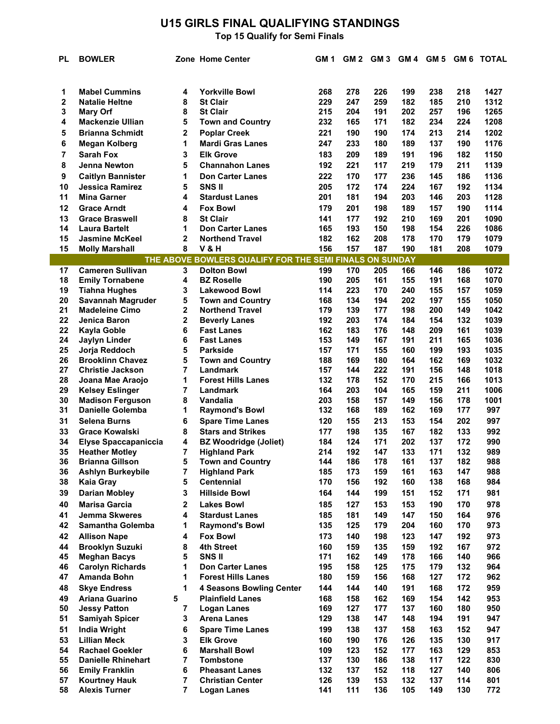# **U15 GIRLS FINAL QUALIFYING STANDINGS**

| PL       | <b>BOWLER</b>                                  |                | Zone Home Center                                        | GM 1       |            | GM 2 GM 3 GM 4 GM 5 |            |            |            | <b>GM 6 TOTAL</b> |
|----------|------------------------------------------------|----------------|---------------------------------------------------------|------------|------------|---------------------|------------|------------|------------|-------------------|
|          |                                                |                |                                                         |            |            |                     |            |            |            |                   |
| 1        | <b>Mabel Cummins</b>                           | 4              | <b>Yorkville Bowl</b>                                   | 268        | 278        | 226                 | 199        | 238        | 218        | 1427              |
| 2        | <b>Natalie Heltne</b>                          | 8              | <b>St Clair</b>                                         | 229        | 247        | 259                 | 182        | 185        | 210        | 1312              |
| 3        | <b>Mary Orf</b>                                | 8              | <b>St Clair</b>                                         | 215        | 204        | 191                 | 202        | 257        | 196        | 1265              |
| 4        | <b>Mackenzie Ullian</b>                        | 5              | <b>Town and Country</b>                                 | 232        | 165        | 171                 | 182        | 234        | 224        | 1208              |
| 5        | <b>Brianna Schmidt</b>                         | 2              | <b>Poplar Creek</b>                                     | 221        | 190        | 190                 | 174        | 213        | 214        | 1202              |
| 6        | <b>Megan Kolberg</b>                           | 1              | <b>Mardi Gras Lanes</b>                                 | 247        | 233        | 180                 | 189        | 137        | 190        | 1176              |
| 7        | <b>Sarah Fox</b>                               | 3              | <b>Elk Grove</b>                                        | 183        | 209        | 189                 | 191        | 196        | 182        | 1150              |
| 8        | <b>Jenna Newton</b>                            | 5              |                                                         |            | 221        | 117                 | 219        | 179        | 211        | 1139              |
|          |                                                |                | <b>Channahon Lanes</b>                                  | 192        |            |                     |            |            |            |                   |
| 9        | <b>Caitlyn Bannister</b>                       | 1              | <b>Don Carter Lanes</b>                                 | 222        | 170        | 177                 | 236        | 145        | 186        | 1136              |
| 10<br>11 | <b>Jessica Ramirez</b><br><b>Mina Garner</b>   | 5<br>4         | <b>SNSII</b>                                            | 205        | 172<br>181 | 174<br>194          | 224<br>203 | 167        | 192<br>203 | 1134              |
|          |                                                |                | <b>Stardust Lanes</b>                                   | 201        |            |                     |            | 146        |            | 1128              |
| 12       | <b>Grace Arndt</b>                             | 4              | <b>Fox Bowl</b>                                         | 179        | 201        | 198                 | 189        | 157        | 190        | 1114              |
| 13       | <b>Grace Braswell</b>                          | 8              | <b>St Clair</b>                                         | 141        | 177        | 192                 | 210        | 169        | 201        | 1090              |
| 14       | <b>Laura Bartelt</b>                           | 1              | <b>Don Carter Lanes</b>                                 | 165        | 193        | 150                 | 198        | 154        | 226        | 1086              |
| 15<br>15 | <b>Jasmine McKeel</b>                          | 2<br>8         | <b>Northend Travel</b><br><b>V&amp;H</b>                | 182<br>156 | 162<br>157 | 208<br>187          | 178<br>190 | 170<br>181 | 179<br>208 | 1079<br>1079      |
|          | <b>Molly Marshall</b>                          |                |                                                         |            |            |                     |            |            |            |                   |
|          | <b>Cameren Sullivan</b>                        |                | THE ABOVE BOWLERS QUALIFY FOR THE SEMI FINALS ON SUNDAY |            |            |                     |            |            |            |                   |
| 17       |                                                | 3              | <b>Dolton Bowl</b>                                      | 199        | 170        | 205                 | 166        | 146<br>191 | 186        | 1072              |
| 18<br>19 | <b>Emily Tornabene</b><br><b>Tiahna Hughes</b> | 4<br>3         | <b>BZ Roselle</b><br><b>Lakewood Bowl</b>               | 190<br>114 | 205<br>223 | 161<br>170          | 155<br>240 | 155        | 168<br>157 | 1070<br>1059      |
| 20       | Savannah Magruder                              | 5              | <b>Town and Country</b>                                 | 168        | 134        | 194                 | 202        | 197        | 155        | 1050              |
| 21       | <b>Madeleine Cimo</b>                          | $\overline{2}$ | <b>Northend Travel</b>                                  | 179        | 139        | 177                 | 198        | 200        | 149        | 1042              |
| 22       | Jenica Baron                                   | $\overline{2}$ | <b>Beverly Lanes</b>                                    | 192        | 203        | 174                 | 184        | 154        | 132        | 1039              |
| 22       | <b>Kayla Goble</b>                             | 6              | <b>Fast Lanes</b>                                       | 162        | 183        | 176                 | 148        | 209        | 161        | 1039              |
| 24       | <b>Jaylyn Linder</b>                           | 6              | <b>Fast Lanes</b>                                       | 153        | 149        | 167                 | 191        | 211        | 165        | 1036              |
| 25       | Jorja Reddoch                                  | 5              | <b>Parkside</b>                                         | 157        | 171        | 155                 | 160        | 199        | 193        | 1035              |
| 26       | <b>Brooklinn Chavez</b>                        | 5              | <b>Town and Country</b>                                 | 188        | 169        | 180                 | 164        | 162        | 169        | 1032              |
| 27       | <b>Christie Jackson</b>                        | 7              | <b>Landmark</b>                                         | 157        | 144        | 222                 | 191        | 156        | 148        | 1018              |
| 28       | Joana Mae Araojo                               | 1              | <b>Forest Hills Lanes</b>                               | 132        | 178        | 152                 | 170        | 215        | 166        | 1013              |
| 29       | <b>Kelsey Eslinger</b>                         | 7              | Landmark                                                | 164        | 203        | 104                 | 165        | 159        | 211        | 1006              |
| 30       | <b>Madison Ferguson</b>                        | 8              | Vandalia                                                | 203        | 158        | 157                 | 149        | 156        | 178        | 1001              |
| 31       | <b>Danielle Golemba</b>                        | 1              | <b>Raymond's Bowl</b>                                   | 132        | 168        | 189                 | 162        | 169        | 177        | 997               |
| 31       | <b>Selena Burns</b>                            | 6              | <b>Spare Time Lanes</b>                                 | 120        | 155        | 213                 | 153        | 154        | 202        | 997               |
| 33       | <b>Grace Kowalski</b>                          | 8              | <b>Stars and Strikes</b>                                | 177        | 198        | 135                 | 167        | 182        | 133        | 992               |
| 34       | <b>Elyse Spaccapaniccia</b>                    | 4              | <b>BZ Woodridge (Joliet)</b>                            | 184        | 124        | 171                 | 202        | 137        | 172        | 990               |
| 35       | <b>Heather Motley</b>                          | 7              | <b>Highland Park</b>                                    | 214        | 192        | 147                 | 133        | 171        | 132        | 989               |
| 36       | <b>Brianna Gillson</b>                         | 5              | <b>Town and Country</b>                                 | 144        | 186        | 178                 | 161        | 137        | 182        | 988               |
| 36       | <b>Ashlyn Burkeybile</b>                       | 7              | <b>Highland Park</b>                                    | 185        | 173        | 159                 | 161        | 163        | 147        | 988               |
| 38       | Kaia Gray                                      | 5              | <b>Centennial</b>                                       | 170        | 156        | 192                 | 160        | 138        | 168        | 984               |
| 39       | <b>Darian Mobley</b>                           | 3              | <b>Hillside Bowl</b>                                    | 164        | 144        | 199                 | 151        | 152        | 171        | 981               |
| 40       | <b>Marisa Garcia</b>                           | 2              | <b>Lakes Bowl</b>                                       | 185        | 127        | 153                 | 153        | 190        | 170        | 978               |
| 41       | <b>Jemma Skweres</b>                           | 4              | <b>Stardust Lanes</b>                                   | 185        | 181        | 149                 | 147        | 150        | 164        | 976               |
| 42       | Samantha Golemba                               | 1              | <b>Raymond's Bowl</b>                                   | 135        | 125        | 179                 | 204        | 160        | 170        | 973               |
| 42       | <b>Allison Nape</b>                            | 4              | <b>Fox Bowl</b>                                         | 173        | 140        | 198                 | 123        | 147        | 192        | 973               |
| 44       | <b>Brooklyn Suzuki</b>                         | 8              | 4th Street                                              | 160        | 159        | 135                 | 159        | 192        | 167        | 972               |
| 45       | <b>Meghan Bacys</b>                            | 5              | <b>SNSII</b>                                            | 171        | 162        | 149                 | 178        | 166        | 140        | 966               |
| 46       | <b>Carolyn Richards</b>                        | 1              | <b>Don Carter Lanes</b>                                 | 195        | 158        | 125                 | 175        | 179        | 132        | 964               |
| 47       | Amanda Bohn                                    | 1              | <b>Forest Hills Lanes</b>                               | 180        | 159        | 156                 | 168        | 127        | 172        | 962               |
| 48       | <b>Skye Endress</b>                            | 1              | <b>4 Seasons Bowling Center</b>                         | 144        | 144        | 140                 | 191        | 168        | 172        | 959               |
| 49       | Ariana Guarino                                 | 5              | <b>Plainfield Lanes</b>                                 | 168        | 158        | 162                 | 169        | 154        | 142        | 953               |
| 50       | <b>Jessy Patton</b>                            | $\overline{7}$ | <b>Logan Lanes</b>                                      | 169        | 127        | 177                 | 137        | 160        | 180        | 950               |
| 51       | <b>Samiyah Spicer</b>                          | 3              | <b>Arena Lanes</b>                                      | 129        | 138        | 147                 | 148        | 194        | 191        | 947               |
| 51       | <b>India Wright</b>                            | 6              | <b>Spare Time Lanes</b>                                 | 199        | 138        | 137                 | 158        | 163        | 152        | 947               |
| 53       | <b>Lillian Meck</b>                            | 3              | <b>Elk Grove</b>                                        | 160        | 190        | 176                 | 126        | 135        | 130        | 917               |
| 54       | <b>Rachael Goekler</b>                         | 6              | <b>Marshall Bowl</b>                                    | 109        | 123        | 152                 | 177        | 163        | 129        | 853               |
| 55       | <b>Danielle Rhinehart</b>                      | 7              | <b>Tombstone</b>                                        | 137        | 130        | 186                 | 138        | 117        | 122        | 830               |
| 56       | <b>Emily Franklin</b>                          | 6              | <b>Pheasant Lanes</b>                                   | 132        | 137        | 152                 | 118        | 127        | 140        | 806               |
| 57       | <b>Kourtney Hauk</b>                           | 7              | <b>Christian Center</b>                                 | 126        | 139        | 153                 | 132        | 137        | 114        | 801               |
| 58       | <b>Alexis Turner</b>                           | $\overline{7}$ | <b>Logan Lanes</b>                                      | 141        | 111        | 136                 | 105        | 149        | 130        | 772               |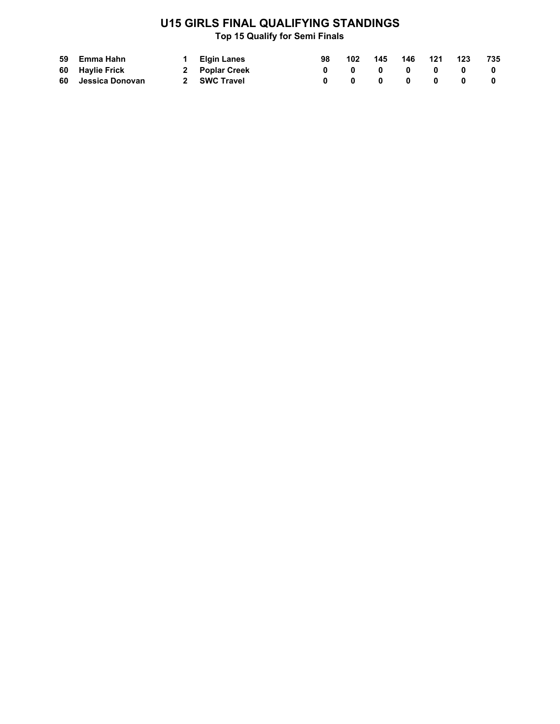## **U15 GIRLS FINAL QUALIFYING STANDINGS**

| 59 Emma Hahn       | 1 Elgin Lanes  | 98 102                                     | 145 146 121 |                           | 123                                      | 735                     |
|--------------------|----------------|--------------------------------------------|-------------|---------------------------|------------------------------------------|-------------------------|
| 60 Haylie Frick    | 2 Poplar Creek | $\begin{array}{ccc} 0 & 0 & 0 \end{array}$ |             | $\mathbf{0}$ $\mathbf{0}$ | $\begin{array}{ccc} & & & 0 \end{array}$ |                         |
| 60 Jessica Donovan | 2 SWC Travel   | $\mathbf{0}$ $\mathbf{0}$                  |             | $\mathbf 0$ $\mathbf 0$   | 0                                        | $\overline{\mathbf{0}}$ |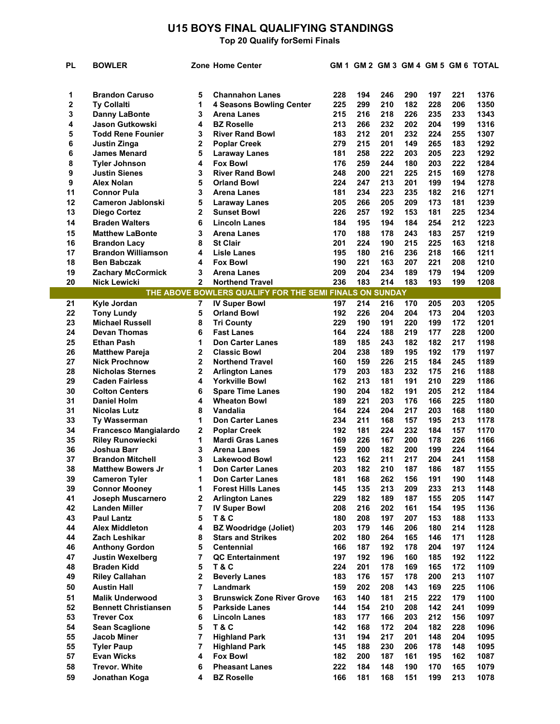## **U15 BOYS FINAL QUALIFYING STANDINGS**

| <b>PL</b> | <b>BOWLER</b>                |        | <b>Zone Home Center</b>                                 |            |            |            |            |            |            | GM 1 GM 2 GM 3 GM 4 GM 5 GM 6 TOTAL |
|-----------|------------------------------|--------|---------------------------------------------------------|------------|------------|------------|------------|------------|------------|-------------------------------------|
|           |                              |        |                                                         |            |            |            |            |            |            |                                     |
|           |                              |        |                                                         |            |            |            |            |            |            |                                     |
| 1         | <b>Brandon Caruso</b>        | 5      | <b>Channahon Lanes</b>                                  | 228        | 194        | 246        | 290        | 197        | 221        | 1376                                |
| 2         | <b>Ty Collalti</b>           | 1      | <b>4 Seasons Bowling Center</b>                         | 225        | 299        | 210        | 182        | 228        | 206        | 1350                                |
| 3         | <b>Danny LaBonte</b>         | 3      | <b>Arena Lanes</b>                                      | 215        | 216        | 218        | 226        | 235        | 233        | 1343                                |
| 4         | <b>Jason Gutkowski</b>       | 4      | <b>BZ Roselle</b>                                       | 213        | 266        | 232        | 202        | 204        | 199        | 1316                                |
| 5         | <b>Todd Rene Founier</b>     | 3      | <b>River Rand Bowl</b>                                  | 183        | 212        | 201        | 232        | 224        | 255        | 1307                                |
| 6         | Justin Zinga                 | 2      | <b>Poplar Creek</b>                                     | 279        | 215        | 201        | 149        | 265        | 183        | 1292                                |
| 6         | <b>James Menard</b>          | 5      | <b>Laraway Lanes</b>                                    | 181        | 258        | 222        | 203        | 205        | 223        | 1292                                |
| 8         | <b>Tyler Johnson</b>         | 4      | <b>Fox Bowl</b>                                         | 176        | 259        | 244        | 180        | 203        | 222        | 1284                                |
| 9         | <b>Justin Sienes</b>         | 3      | <b>River Rand Bowl</b>                                  | 248        | 200        | 221        | 225        | 215        | 169<br>194 | 1278                                |
| 9<br>11   | <b>Alex Nolan</b>            | 5      | <b>Orland Bowl</b>                                      | 224        | 247<br>234 | 213<br>223 | 201<br>235 | 199<br>182 |            | 1278                                |
| 12        | <b>Connor Pula</b>           | 3<br>5 | <b>Arena Lanes</b>                                      | 181<br>205 | 266        | 205        | 209        | 173        | 216<br>181 | 1271<br>1239                        |
| 13        | <b>Cameron Jablonski</b>     | 2      | <b>Laraway Lanes</b>                                    | 226        |            | 192        | 153        | 181        | 225        | 1234                                |
|           | Diego Cortez                 |        | Sunset Bowl                                             |            | 257        |            |            |            |            |                                     |
| 14        | <b>Braden Walters</b>        | 6      | <b>Lincoln Lanes</b>                                    | 184        | 195        | 194        | 184        | 254        | 212        | 1223                                |
| 15        | <b>Matthew LaBonte</b>       | 3      | Arena Lanes                                             | 170        | 188        | 178        | 243        | 183        | 257        | 1219                                |
| 16        | <b>Brandon Lacy</b>          | 8      | <b>St Clair</b>                                         | 201        | 224        | 190        | 215        | 225        | 163        | 1218                                |
| 17        | <b>Brandon Williamson</b>    | 4      | Lisle Lanes                                             | 195        | 180        | 216        | 236        | 218        | 166        | 1211                                |
| 18        | <b>Ben Babczak</b>           | 4      | <b>Fox Bowl</b>                                         | 190        | 221        | 163        | 207        | 221        | 208        | 1210                                |
| 19        | <b>Zachary McCormick</b>     | 3      | <b>Arena Lanes</b>                                      | 209        | 204        | 234        | 189        | 179        | 194        | 1209                                |
| 20        | <b>Nick Lewicki</b>          | 2      | <b>Northend Travel</b>                                  | 236        | 183        | 214        | 183        | 193        | 199        | 1208                                |
|           |                              |        | THE ABOVE BOWLERS QUALIFY FOR THE SEMI FINALS ON SUNDAY |            |            |            |            |            |            |                                     |
| 21        | Kyle Jordan                  | 7      | <b>IV Super Bowl</b>                                    | 197        | 214        | 216        | 170        | 205        | 203        | 1205                                |
| 22        | <b>Tony Lundy</b>            | 5      | <b>Orland Bowl</b>                                      | 192        | 226        | 204        | 204        | 173        | 204        | 1203                                |
| 23        | <b>Michael Russell</b>       | 8      | <b>Tri County</b>                                       | 229        | 190        | 191        | 220        | 199        | 172        | 1201                                |
| 24        | <b>Devan Thomas</b>          | 6      | <b>Fast Lanes</b>                                       | 164        | 224        | 188        | 219        | 177        | 228        | 1200                                |
| 25        | <b>Ethan Pash</b>            | 1      | <b>Don Carter Lanes</b>                                 | 189        | 185        | 243        | 182        | 182        | 217        | 1198                                |
| 26        | <b>Matthew Pareja</b>        | 2      | <b>Classic Bowl</b>                                     | 204        | 238        | 189        | 195        | 192        | 179        | 1197                                |
| 27        | <b>Nick Prochnow</b>         | 2      | <b>Northend Travel</b>                                  | 160        | 159        | 226        | 215        | 184        | 245        | 1189                                |
| 28        | <b>Nicholas Sternes</b>      | 2      | <b>Arlington Lanes</b>                                  | 179        | 203        | 183        | 232        | 175        | 216        | 1188                                |
| 29        | <b>Caden Fairless</b>        | 4      | <b>Yorkville Bowl</b>                                   | 162        | 213        | 181        | 191        | 210        | 229        | 1186                                |
| 30        | <b>Colton Centers</b>        | 6      | <b>Spare Time Lanes</b>                                 | 190        | 204        | 182        | 191        | 205        | 212        | 1184                                |
| 31        | <b>Daniel Holm</b>           | 4      | <b>Wheaton Bowl</b>                                     | 189        | 221        | 203        | 176        | 166        | 225        | 1180                                |
| 31        | <b>Nicolas Lutz</b>          | 8      | Vandalia                                                | 164        | 224        | 204        | 217        | 203        | 168        | 1180                                |
| 33        | <b>Ty Wasserman</b>          | 1      | Don Carter Lanes                                        | 234        | 211        | 168        | 157        | 195        | 213        | 1178                                |
| 34        | <b>Francesco Mangialardo</b> | 2      | <b>Poplar Creek</b>                                     | 192        | 181        | 224        | 232        | 184        | 157        | 1170                                |
| 35        | <b>Riley Runowiecki</b>      | 1      | <b>Mardi Gras Lanes</b>                                 | 169        | 226        | 167        | 200        | 178        | 226        | 1166                                |
| 36        | <b>Joshua Barr</b>           | 3      | <b>Arena Lanes</b>                                      | 159        | 200        | 182        | 200        | 199        | 224        | 1164                                |
| 37        | <b>Brandon Mitchell</b>      | 3      | <b>Lakewood Bowl</b>                                    | 123        | 162        | 211        | 217        | 204        | 241        | 1158                                |
| 38        | <b>Matthew Bowers Jr</b>     | 1      | <b>Don Carter Lanes</b>                                 | 203        | 182        | 210        | 187        | 186        | 187        | 1155                                |
| 39        | <b>Cameron Tyler</b>         | 1      | <b>Don Carter Lanes</b>                                 | 181        | 168        | 262        | 156        | 191        | 190        | 1148                                |
| 39        | <b>Connor Mooney</b>         | 1      | <b>Forest Hills Lanes</b>                               | 145        | 135        | 213        | 209        | 233        | 213        | 1148                                |
| 41        | Joseph Muscarnero            | 2      | <b>Arlington Lanes</b>                                  | 229        | 182        | 189        | 187        | 155        | 205        | 1147                                |
| 42        | <b>Landen Miller</b>         | 7      | <b>IV Super Bowl</b>                                    | 208        | 216        | 202        | 161        | 154        | 195        | 1136                                |
| 43        | <b>Paul Lantz</b>            | 5      | <b>T&amp;C</b>                                          | 180        | 208        | 197        | 207        | 153        | 188        | 1133                                |
| 44        | <b>Alex Middleton</b>        | 4      | <b>BZ Woodridge (Joliet)</b>                            | 203        | 179        | 146        | 206        | 180        | 214        | 1128                                |
| 44        | Zach Leshikar                | 8      | <b>Stars and Strikes</b>                                | 202        | 180        | 264        | 165        | 146        | 171        | 1128                                |
| 46        | <b>Anthony Gordon</b>        | 5      | <b>Centennial</b>                                       | 166        | 187        | 192        | 178        | 204        | 197        | 1124                                |
| 47        | <b>Justin Wexelberg</b>      | 7      | <b>QC Entertainment</b>                                 | 197        | 192        | 196        | 160        | 185        | 192        | 1122                                |
| 48        | <b>Braden Kidd</b>           | 5      | <b>T&amp;C</b>                                          | 224        | 201        | 178        | 169        | 165        | 172        | 1109                                |
| 49        | <b>Riley Callahan</b>        | 2      | <b>Beverly Lanes</b>                                    | 183        | 176        | 157        | 178        | 200        | 213        | 1107                                |
| 50        | <b>Austin Hall</b>           | 7      | Landmark                                                | 159        | 202        | 208        | 143        | 169        | 225        | 1106                                |
| 51        | <b>Malik Underwood</b>       | 3      | <b>Brunswick Zone River Grove</b>                       | 163        | 140        | 181        | 215        | 222        | 179        | 1100                                |
| 52        | <b>Bennett Christiansen</b>  | 5      | <b>Parkside Lanes</b>                                   | 144        | 154        | 210        | 208        | 142        | 241        | 1099                                |
| 53        | <b>Trever Cox</b>            | 6      | <b>Lincoln Lanes</b>                                    | 183        | 177        | 166        | 203        | 212        | 156        | 1097                                |
| 54        | <b>Sean Scaglione</b>        | 5      | T&C                                                     | 142        | 168        | 172        | 204        | 182        | 228        | 1096                                |
| 55        | <b>Jacob Miner</b>           | 7      | <b>Highland Park</b>                                    | 131        | 194        | 217        | 201        | 148        | 204        | 1095                                |
| 55        | <b>Tyler Paup</b>            | 7      | <b>Highland Park</b>                                    | 145        | 188        | 230        | 206        | 178        | 148        | 1095                                |
| 57        | <b>Evan Wicks</b>            | 4      | <b>Fox Bowl</b>                                         | 182        | 200        | 187        | 161        | 195        | 162        | 1087                                |
| 58        | <b>Trevor. White</b>         | 6      | <b>Pheasant Lanes</b>                                   | 222        | 184        | 148        | 190        | 170        | 165        | 1079                                |
| 59        | Jonathan Koga                | 4      | <b>BZ Roselle</b>                                       | 166        | 181        | 168        | 151        | 199        | 213        | 1078                                |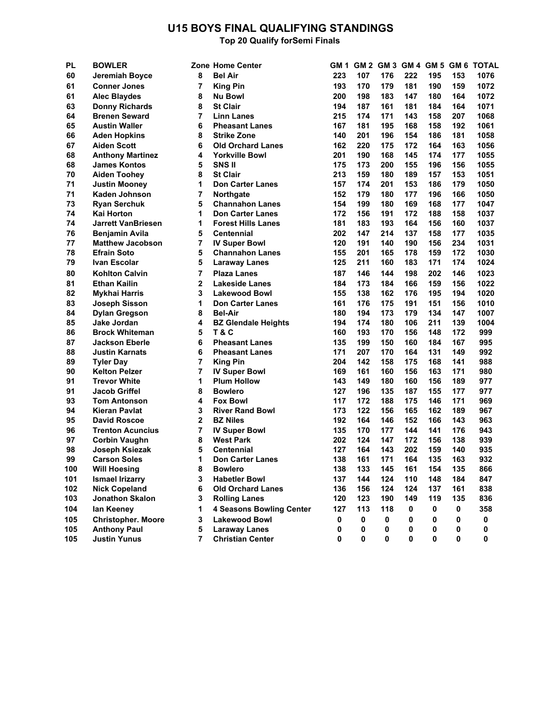## **U15 BOYS FINAL QUALIFYING STANDINGS**

| PL  | <b>BOWLER</b>             |                | Zone Home Center                | GM 1 |             |             |             |             |     | GM 2 GM 3 GM 4 GM 5 GM 6 TOTAL |
|-----|---------------------------|----------------|---------------------------------|------|-------------|-------------|-------------|-------------|-----|--------------------------------|
| 60  | Jeremiah Boyce            | 8              | <b>Bel Air</b>                  | 223  | 107         | 176         | 222         | 195         | 153 | 1076                           |
| 61  | <b>Conner Jones</b>       | 7              | <b>King Pin</b>                 | 193  | 170         | 179         | 181         | 190         | 159 | 1072                           |
| 61  | <b>Alec Blaydes</b>       | 8              | <b>Nu Bowl</b>                  | 200  | 198         | 183         | 147         | 180         | 164 | 1072                           |
| 63  | <b>Donny Richards</b>     | 8              | <b>St Clair</b>                 | 194  | 187         | 161         | 181         | 184         | 164 | 1071                           |
| 64  | <b>Brenen Seward</b>      | $\overline{7}$ | <b>Linn Lanes</b>               | 215  | 174         | 171         | 143         | 158         | 207 | 1068                           |
| 65  | <b>Austin Waller</b>      | 6              | <b>Pheasant Lanes</b>           | 167  | 181         | 195         | 168         | 158         | 192 | 1061                           |
| 66  | <b>Aden Hopkins</b>       | 8              | <b>Strike Zone</b>              | 140  | 201         | 196         | 154         | 186         | 181 | 1058                           |
| 67  | <b>Aiden Scott</b>        | 6              | <b>Old Orchard Lanes</b>        | 162  | 220         | 175         | 172         | 164         | 163 | 1056                           |
| 68  | <b>Anthony Martinez</b>   | 4              | <b>Yorkville Bowl</b>           | 201  | 190         | 168         | 145         | 174         | 177 | 1055                           |
| 68  | <b>James Kontos</b>       | 5              | SNS <sub>II</sub>               | 175  | 173         | 200         | 155         | 196         | 156 | 1055                           |
| 70  | <b>Aiden Toohey</b>       | 8              | <b>St Clair</b>                 | 213  | 159         | 180         | 189         | 157         | 153 | 1051                           |
| 71  | <b>Justin Mooney</b>      | 1              | <b>Don Carter Lanes</b>         | 157  | 174         | 201         | 153         | 186         | 179 | 1050                           |
| 71  | Kaden Johnson             | 7              | Northgate                       | 152  | 179         | 180         | 177         | 196         | 166 | 1050                           |
| 73  | <b>Ryan Serchuk</b>       | 5              | <b>Channahon Lanes</b>          | 154  | 199         | 180         | 169         | 168         | 177 | 1047                           |
| 74  | Kai Horton                | 1              | <b>Don Carter Lanes</b>         | 172  | 156         | 191         | 172         | 188         | 158 | 1037                           |
| 74  | <b>Jarrett VanBriesen</b> | 1              | <b>Forest Hills Lanes</b>       | 181  | 183         | 193         | 164         | 156         | 160 | 1037                           |
| 76  | <b>Benjamin Avila</b>     | 5              | <b>Centennial</b>               | 202  | 147         | 214         | 137         | 158         | 177 | 1035                           |
| 77  | <b>Matthew Jacobson</b>   | 7              | <b>IV Super Bowl</b>            | 120  | 191         | 140         | 190         | 156         | 234 | 1031                           |
| 78  | <b>Efrain Soto</b>        | 5              | <b>Channahon Lanes</b>          | 155  | 201         | 165         | 178         | 159         | 172 | 1030                           |
| 79  | Ivan Escolar              | 5              | <b>Laraway Lanes</b>            | 125  | 211         | 160         | 183         | 171         | 174 | 1024                           |
| 80  | <b>Kohlton Calvin</b>     | $\overline{7}$ | <b>Plaza Lanes</b>              | 187  | 146         | 144         | 198         | 202         | 146 | 1023                           |
| 81  | <b>Ethan Kailin</b>       | $\mathbf{2}$   | <b>Lakeside Lanes</b>           | 184  | 173         | 184         | 166         | 159         | 156 | 1022                           |
| 82  | <b>Mykhai Harris</b>      | 3              | <b>Lakewood Bowl</b>            | 155  | 138         | 162         | 176         | 195         | 194 | 1020                           |
| 83  | <b>Joseph Sisson</b>      | 1              | <b>Don Carter Lanes</b>         | 161  | 176         | 175         | 191         | 151         | 156 | 1010                           |
| 84  | <b>Dylan Gregson</b>      | 8              | <b>Bel-Air</b>                  | 180  | 194         | 173         | 179         | 134         | 147 | 1007                           |
| 85  | Jake Jordan               | 4              | <b>BZ Glendale Heights</b>      | 194  | 174         | 180         | 106         | 211         | 139 | 1004                           |
| 86  | <b>Brock Whiteman</b>     | 5              | T&C                             | 160  | 193         | 170         | 156         | 148         | 172 | 999                            |
| 87  | <b>Jackson Eberle</b>     | 6              | <b>Pheasant Lanes</b>           | 135  | 199         | 150         | 160         | 184         | 167 | 995                            |
| 88  | <b>Justin Karnats</b>     | 6              | <b>Pheasant Lanes</b>           | 171  | 207         | 170         | 164         | 131         | 149 | 992                            |
| 89  | <b>Tyler Day</b>          | 7              | <b>King Pin</b>                 | 204  | 142         | 158         | 175         | 168         | 141 | 988                            |
| 90  | <b>Kelton Pelzer</b>      | 7              | <b>IV Super Bowl</b>            | 169  | 161         | 160         | 156         | 163         | 171 | 980                            |
| 91  | <b>Trevor White</b>       | 1              | <b>Plum Hollow</b>              | 143  | 149         | 180         | 160         | 156         | 189 | 977                            |
| 91  | <b>Jacob Griffel</b>      | 8              | <b>Bowlero</b>                  | 127  | 196         | 135         | 187         | 155         | 177 | 977                            |
| 93  | <b>Tom Antonson</b>       | 4              | <b>Fox Bowl</b>                 | 117  | 172         | 188         | 175         | 146         | 171 | 969                            |
| 94  | <b>Kieran Pavlat</b>      | 3              | <b>River Rand Bowl</b>          | 173  | 122         | 156         | 165         | 162         | 189 | 967                            |
| 95  | <b>David Roscoe</b>       | $\overline{2}$ | <b>BZ Niles</b>                 | 192  | 164         | 146         | 152         | 166         | 143 | 963                            |
| 96  | <b>Trenton Acuncius</b>   | 7              | <b>IV Super Bowl</b>            | 135  | 170         | 177         | 144         | 141         | 176 | 943                            |
| 97  | <b>Corbin Vaughn</b>      | 8              | <b>West Park</b>                | 202  | 124         | 147         | 172         | 156         | 138 | 939                            |
| 98  | Joseph Ksiezak            | 5              | <b>Centennial</b>               | 127  | 164         | 143         | 202         | 159         | 140 | 935                            |
| 99  | <b>Carson Soles</b>       | 1              | <b>Don Carter Lanes</b>         | 138  | 161         | 171         | 164         | 135         | 163 | 932                            |
| 100 | <b>Will Hoesing</b>       | 8              | <b>Bowlero</b>                  | 138  | 133         | 145         | 161         | 154         | 135 | 866                            |
| 101 | <b>Ismael Irizarry</b>    | 3              | <b>Habetler Bowl</b>            | 137  | 144         | 124         | 110         | 148         | 184 | 847                            |
| 102 | <b>Nick Copeland</b>      | 6              | <b>Old Orchard Lanes</b>        | 136  | 156         | 124         | 124         | 137         | 161 | 838                            |
| 103 | Jonathon Skalon           | 3              | <b>Rolling Lanes</b>            | 120  | 123         | 190         | 149         | 119         | 135 | 836                            |
| 104 | lan Keeney                | 1              | <b>4 Seasons Bowling Center</b> | 127  | 113         | 118         | 0           | 0           | 0   | 358                            |
| 105 | <b>Christopher. Moore</b> | 3              | <b>Lakewood Bowl</b>            | 0    | 0           | 0           | 0           | 0           | 0   | 0                              |
| 105 | <b>Anthony Paul</b>       | 5              | <b>Laraway Lanes</b>            | 0    | 0           | 0           | 0           | 0           | 0   | 0                              |
| 105 | <b>Justin Yunus</b>       | 7              | <b>Christian Center</b>         | 0    | $\mathbf 0$ | $\mathbf 0$ | $\mathbf 0$ | $\mathbf 0$ | 0   | 0                              |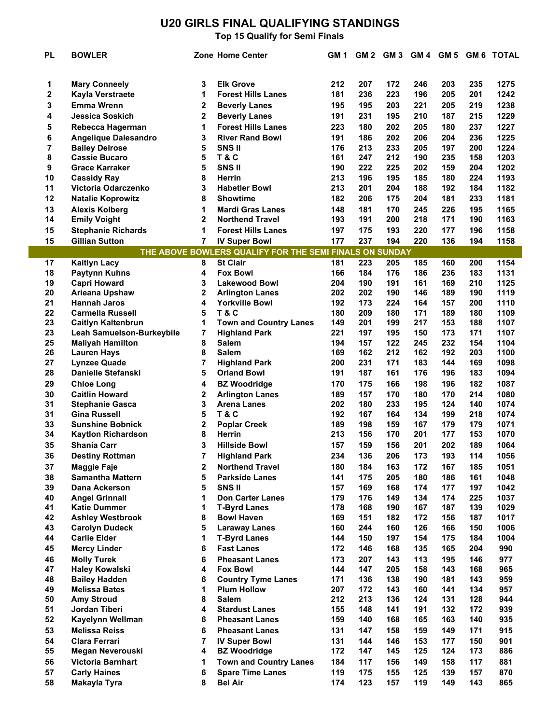# **U20 GIRLS FINAL QUALIFYING STANDINGS**

| PL       | <b>BOWLER</b>                                  |                | Zone Home Center                                        | GM 1       |            |            |            |            |            | GM 2 GM 3 GM 4 GM 5 GM 6 TOTAL |
|----------|------------------------------------------------|----------------|---------------------------------------------------------|------------|------------|------------|------------|------------|------------|--------------------------------|
| 1        | <b>Mary Conneely</b>                           | 3              | <b>Elk Grove</b>                                        | 212        | 207        | 172        | 246        | 203        | 235        | 1275                           |
| 2        | Kayla Verstraete                               | 1              | <b>Forest Hills Lanes</b>                               | 181        | 236        | 223        | 196        | 205        | 201        | 1242                           |
| 3        | Emma Wrenn                                     | 2              | <b>Beverly Lanes</b>                                    | 195        | 195        | 203        | 221        | 205        | 219        | 1238                           |
| 4        | <b>Jessica Soskich</b>                         | 2              | <b>Beverly Lanes</b>                                    | 191        | 231        | 195        | 210        | 187        | 215        | 1229                           |
| 5        | Rebecca Hagerman                               | 1              | <b>Forest Hills Lanes</b>                               | 223        | 180        | 202        | 205        | 180        | 237        | 1227                           |
| 6        | <b>Angelique Dalesandro</b>                    | 3              | <b>River Rand Bowl</b>                                  | 191        | 186        | 202        | 206        | 204        | 236        | 1225                           |
| 7        | <b>Bailey Delrose</b>                          | 5              | <b>SNSII</b>                                            | 176        | 213        | 233        | 205        | 197        | 200        | 1224                           |
| 8        | <b>Cassie Bucaro</b>                           | 5              | <b>T&amp;C</b>                                          | 161        | 247        | 212        | 190        | 235        | 158        | 1203                           |
| 9        | <b>Grace Karraker</b>                          | 5              | <b>SNSII</b>                                            | 190        | 222        | 225        | 202        | 159        | 204        | 1202                           |
| 10       | <b>Cassidy Ray</b>                             | 8              | <b>Herrin</b>                                           | 213        | 196        | 195        | 185        | 180        | 224        | 1193                           |
| 11       | Victoria Odarczenko                            | 3              | <b>Habetler Bowl</b>                                    | 213        | 201        | 204        | 188        | 192        | 184        | 1182                           |
| 12       | <b>Natalie Koprowitz</b>                       | 8              | <b>Showtime</b>                                         | 182        | 206        | 175        | 204        | 181        | 233        | 1181                           |
| 13       | <b>Alexis Kolberg</b>                          | 1              | <b>Mardi Gras Lanes</b>                                 | 148        | 181        | 170        | 245        | 226        | 195        | 1165                           |
| 14       | <b>Emily Voight</b>                            | 2              | <b>Northend Travel</b>                                  | 193        | 191        | 200        | 218        | 171        | 190        | 1163                           |
| 15       | <b>Stephanie Richards</b>                      | 1              | <b>Forest Hills Lanes</b>                               | 197        | 175        | 193        | 220        | 177        | 196        | 1158                           |
| 15       | <b>Gillian Sutton</b>                          | 7              | <b>IV Super Bowl</b>                                    | 177        | 237        | 194        | 220        | 136        | 194        | 1158                           |
|          |                                                |                | THE ABOVE BOWLERS QUALIFY FOR THE SEMI FINALS ON SUNDAY |            |            |            |            |            |            |                                |
| 17       | <b>Kaitlyn Lacy</b>                            | 8              | <b>St Clair</b>                                         | 181        | 223        | 205        | 185        | 160        | 200        | 1154                           |
| 18       | Paytynn Kuhns                                  | 4              | <b>Fox Bowl</b>                                         | 166        | 184        | 176        | 186        | 236        | 183        | 1131                           |
| 19       | <b>Capri Howard</b>                            | 3              | <b>Lakewood Bowl</b>                                    | 204        | 190        | 191        | 161        | 169        | 210        | 1125                           |
| 20       | Arieana Upshaw                                 | 2              | <b>Arlington Lanes</b>                                  | 202        | 202        | 190        | 146        | 189        | 190        | 1119                           |
| 21       | <b>Hannah Jaros</b>                            | 4              | <b>Yorkville Bowl</b>                                   | 192        | 173        | 224        | 164        | 157        | 200        | 1110                           |
| 22       | <b>Carmella Russell</b>                        | 5              | <b>T&amp;C</b>                                          | 180        | 209        | 180        | 171        | 189        | 180        | 1109                           |
| 23       | <b>Caitlyn Kaltenbrun</b>                      | 1              | <b>Town and Country Lanes</b>                           | 149        | 201        | 199        | 217        | 153        | 188        | 1107                           |
| 23       | Leah Samuelson-Burkeybile                      | $\overline{7}$ | <b>Highland Park</b>                                    | 221        | 197        | 195        | 150        | 173        | 171        | 1107                           |
| 25       | <b>Maliyah Hamilton</b>                        | 8              | <b>Salem</b>                                            | 194        | 157        | 122        | 245        | 232        | 154        | 1104                           |
| 26       | <b>Lauren Hays</b>                             | 8              | <b>Salem</b>                                            | 169        | 162        | 212        | 162        | 192        | 203        | 1100                           |
| 27       | <b>Lynzee Quade</b>                            | 7              | <b>Highland Park</b>                                    | 200        | 231        | 171        | 183        | 144        | 169        | 1098                           |
| 28       | <b>Danielle Stefanski</b>                      | 5              | <b>Orland Bowl</b>                                      | 191        | 187        | 161        | 176        | 196        | 183        | 1094                           |
| 29       | <b>Chloe Long</b>                              | 4              | <b>BZ Woodridge</b>                                     | 170        | 175        | 166        | 198        | 196        | 182        | 1087                           |
| 30       | <b>Caitlin Howard</b>                          | $\mathbf 2$    | <b>Arlington Lanes</b>                                  | 189        | 157        | 170        | 180        | 170        | 214        | 1080                           |
| 31       | <b>Stephanie Gasca</b>                         | 3              | <b>Arena Lanes</b>                                      | 202        | 180        | 233        | 195        | 124        | 140        | 1074                           |
| 31       | <b>Gina Russell</b>                            | 5              | <b>T&amp;C</b>                                          | 192        | 167        | 164        | 134        | 199        | 218        | 1074                           |
| 33       | <b>Sunshine Bobnick</b>                        | 2              | <b>Poplar Creek</b>                                     | 189        | 198        | 159        | 167        | 179        | 179        | 1071                           |
| 34       | <b>Kaytlon Richardson</b>                      | 8              | <b>Herrin</b>                                           | 213        | 156        | 170        | 201        | 177        | 153        | 1070                           |
| 35       | <b>Shania Carr</b>                             | 3              | <b>Hillside Bowl</b>                                    | 157        | 159        | 156        | 201        | 202        | 189        | 1064                           |
| 36       | <b>Destiny Rottman</b>                         | 7              | <b>Highland Park</b>                                    | 234        | 136        | 206        | 173        | 193        | 114        | 1056                           |
| 37       | Maggie Faje                                    | 2              | <b>Northend Travel</b>                                  | 180        | 184        | 163        | 172        | 167        | 185        | 1051                           |
| 38       | <b>Samantha Mattern</b>                        | 5              | <b>Parkside Lanes</b>                                   | 141        | 175        | 205        | 180        | 186        | 161        | 1048                           |
| 39       | Dana Ackerson                                  | 5              | <b>SNSII</b>                                            | 157        | 169        | 168        | 174        | 177        | 197        | 1042                           |
| 40       | <b>Angel Grinnall</b>                          | 1              | <b>Don Carter Lanes</b>                                 | 179        | 176        | 149        | 134        | 174        | 225        | 1037                           |
| 41<br>42 | <b>Katie Dummer</b><br><b>Ashley Westbrook</b> | 1<br>8         | <b>T-Byrd Lanes</b><br><b>Bowl Haven</b>                | 178<br>169 | 168<br>151 | 190<br>182 | 167<br>172 | 187<br>156 | 139<br>187 | 1029<br>1017                   |
| 43       | <b>Carolyn Dudeck</b>                          | 5              | <b>Laraway Lanes</b>                                    | 160        | 244        | 160        | 126        | 166        | 150        | 1006                           |
| 44       | <b>Carlie Elder</b>                            | 1              | <b>T-Byrd Lanes</b>                                     | 144        | 150        | 197        | 154        | 175        | 184        | 1004                           |
| 45       | <b>Mercy Linder</b>                            | 6              | <b>Fast Lanes</b>                                       | 172        | 146        | 168        | 135        | 165        | 204        | 990                            |
| 46       | <b>Molly Turek</b>                             | 6              | <b>Pheasant Lanes</b>                                   | 173        | 207        | 143        | 113        | 195        | 146        | 977                            |
| 47       | <b>Haley Kowalski</b>                          | 4              | <b>Fox Bowl</b>                                         | 144        | 147        | 205        | 158        | 143        | 168        | 965                            |
| 48       | <b>Bailey Hadden</b>                           | 6              | <b>Country Tyme Lanes</b>                               | 171        | 136        | 138        | 190        | 181        | 143        | 959                            |
| 49       | <b>Melissa Bates</b>                           | 1              | <b>Plum Hollow</b>                                      | 207        | 172        | 143        | 160        | 141        | 134        | 957                            |
| 50       | <b>Amy Stroud</b>                              | 8              | <b>Salem</b>                                            | 212        | 213        | 136        | 124        | 131        | 128        | 944                            |
| 51       | Jordan Tiberi                                  | 4              | <b>Stardust Lanes</b>                                   | 155        | 148        | 141        | 191        | 132        | 172        | 939                            |
| 52       | Kayelynn Wellman                               | 6              | <b>Pheasant Lanes</b>                                   | 159        | 140        | 168        | 165        | 163        | 140        | 935                            |
| 53       | <b>Melissa Reiss</b>                           | 6              | <b>Pheasant Lanes</b>                                   | 131        | 147        | 158        | 159        | 149        | 171        | 915                            |
| 54       | <b>Clara Ferrari</b>                           | $\overline{7}$ | <b>IV Super Bowl</b>                                    | 131        | 144        | 146        | 153        | 177        | 150        | 901                            |
| 55       | Megan Neverouski                               | 4              | <b>BZ Woodridge</b>                                     | 172        | 147        | 145        | 125        | 124        | 173        | 886                            |
| 56       | <b>Victoria Barnhart</b>                       | 1              | <b>Town and Country Lanes</b>                           | 184        | 117        | 156        | 149        | 158        | 117        | 881                            |
| 57       | <b>Carly Haines</b>                            | 6              | <b>Spare Time Lanes</b>                                 | 119        | 175        | 155        | 125        | 139        | 157        | 870                            |
| 58       | Makayla Tyra                                   | 8              | <b>Bel Air</b>                                          | 174        | 123        | 157        | 119        | 149        | 143        | 865                            |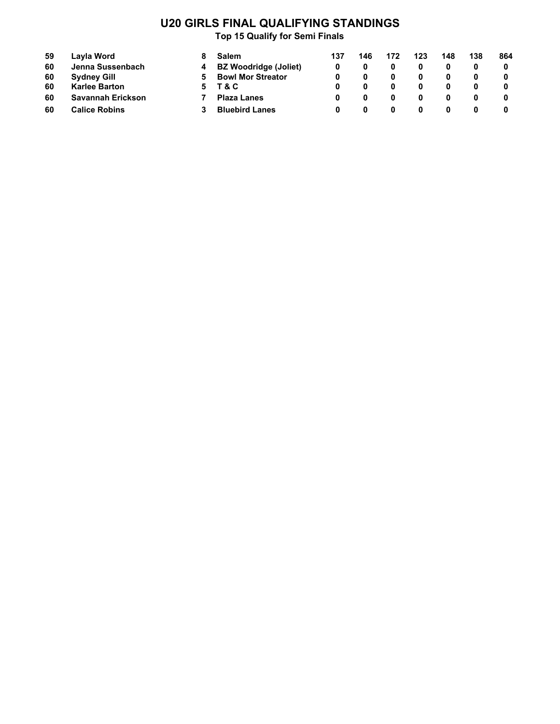# **U20 GIRLS FINAL QUALIFYING STANDINGS**

| 59 | Layla Word           |    | <b>Salem</b>                 | 137 | 146 | 172 | 123 | 148 | 138 | 864 |
|----|----------------------|----|------------------------------|-----|-----|-----|-----|-----|-----|-----|
| 60 | Jenna Sussenbach     | 4  | <b>BZ Woodridge (Joliet)</b> |     |     |     |     |     |     |     |
| 60 | <b>Sydney Gill</b>   | 5. | <b>Bowl Mor Streator</b>     |     |     |     |     |     |     | 0   |
| 60 | <b>Karlee Barton</b> |    | 5 T&C                        |     |     |     |     |     |     |     |
| 60 | Savannah Erickson    |    | <b>Plaza Lanes</b>           |     |     |     |     |     |     |     |
| 60 | <b>Calice Robins</b> |    | <b>Bluebird Lanes</b>        |     |     |     |     |     |     |     |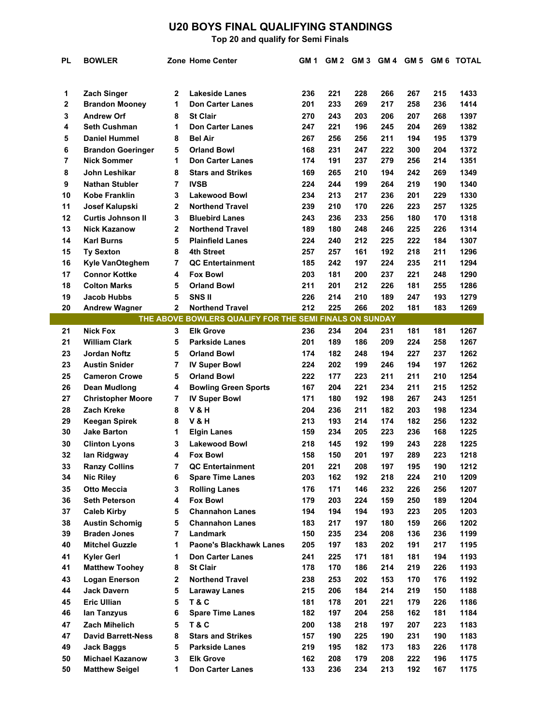## **U20 BOYS FINAL QUALIFYING STANDINGS**

**Top 20 and qualify for Semi Finals**

| <b>PL</b> | <b>BOWLER</b>                              |                | Zone Home Center                                        | GM 1       | GM 2       | GM 3       | GM 4       |            |            | GM 5 GM 6 TOTAL |
|-----------|--------------------------------------------|----------------|---------------------------------------------------------|------------|------------|------------|------------|------------|------------|-----------------|
|           |                                            |                |                                                         |            |            |            |            |            |            |                 |
|           |                                            |                |                                                         |            |            |            |            |            |            |                 |
| 1         | <b>Zach Singer</b>                         | 2              | <b>Lakeside Lanes</b>                                   | 236        | 221        | 228        | 266        | 267        | 215        | 1433            |
| 2         | <b>Brandon Mooney</b>                      | 1              | <b>Don Carter Lanes</b>                                 | 201        | 233        | 269        | 217        | 258        | 236        | 1414            |
| 3         | <b>Andrew Orf</b>                          | 8              | <b>St Clair</b>                                         | 270        | 243        | 203        | 206        | 207        | 268        | 1397            |
| 4         | <b>Seth Cushman</b>                        | 1              | <b>Don Carter Lanes</b>                                 | 247        | 221        | 196        | 245        | 204        | 269        | 1382            |
| 5         | <b>Daniel Hummel</b>                       | 8              | <b>Bel Air</b>                                          | 267        | 256        | 256        | 211        | 194        | 195        | 1379            |
| 6         | <b>Brandon Goeringer</b>                   | 5              | <b>Orland Bowl</b>                                      | 168        | 231        | 247        | 222        | 300        | 204        | 1372            |
| 7         | <b>Nick Sommer</b>                         | 1              | <b>Don Carter Lanes</b>                                 | 174        | 191        | 237        | 279        | 256        | 214        | 1351            |
| 8         | John Leshikar                              | 8              | <b>Stars and Strikes</b>                                | 169        | 265        | 210        | 194        | 242        | 269        | 1349            |
| 9         | <b>Nathan Stubler</b>                      | 7              | <b>IVSB</b>                                             | 224        | 244        | 199        | 264        | 219        | 190        | 1340            |
| 10        | Kobe Franklin                              | 3              | <b>Lakewood Bowl</b>                                    | 234        | 213        | 217        | 236        | 201        | 229        | 1330            |
| 11        | Josef Kalupski                             | 2              | <b>Northend Travel</b>                                  | 239        | 210        | 170        | 226        | 223        | 257        | 1325            |
| 12        | <b>Curtis Johnson II</b>                   | 3              | <b>Bluebird Lanes</b>                                   | 243        | 236        | 233        | 256        | 180        | 170        | 1318            |
| 13        | <b>Nick Kazanow</b>                        | 2              | <b>Northend Travel</b>                                  | 189        | 180        | 248        | 246        | 225        | 226        | 1314            |
| 14        | <b>Karl Burns</b>                          | 5              | <b>Plainfield Lanes</b>                                 | 224        | 240        | 212        | 225        | 222        | 184        | 1307            |
| 15        | <b>Ty Sexton</b>                           | 8              | 4th Street                                              | 257        | 257        | 161        | 192        | 218        | 211        | 1296            |
| 16        | <b>Kyle VanOteghem</b>                     | 7              | <b>QC Entertainment</b>                                 | 185        | 242        | 197        | 224        | 235        | 211        | 1294            |
| 17        | <b>Connor Kottke</b>                       | 4              | <b>Fox Bowl</b>                                         | 203        | 181        | 200        | 237        | 221        | 248        | 1290            |
| 18        | <b>Colton Marks</b>                        | 5              | <b>Orland Bowl</b>                                      | 211        | 201        | 212        | 226        | 181        | 255        | 1286            |
| 19        | <b>Jacob Hubbs</b>                         | 5              | SNS II                                                  | 226        | 214        | 210        | 189        | 247        | 193        | 1279            |
| 20        | <b>Andrew Wagner</b>                       | $\overline{2}$ | <b>Northend Travel</b>                                  | 212        | 225        | 266        | 202        | 181        | 183        | 1269            |
|           |                                            |                | THE ABOVE BOWLERS QUALIFY FOR THE SEMI FINALS ON SUNDAY |            |            |            |            |            |            |                 |
| 21        | <b>Nick Fox</b>                            | 3              | <b>Elk Grove</b>                                        | 236        | 234        | 204        | 231        | 181        | 181        | 1267            |
| 21        | <b>William Clark</b>                       | 5              | <b>Parkside Lanes</b>                                   | 201        | 189        | 186        | 209        | 224        | 258        | 1267            |
| 23        | <b>Jordan Noftz</b>                        | 5              | <b>Orland Bowl</b>                                      | 174        | 182        | 248        | 194        | 227        | 237        | 1262            |
| 23        | <b>Austin Snider</b>                       | 7              | <b>IV Super Bowl</b>                                    | 224        | 202        | 199        | 246        | 194        | 197        | 1262            |
| 25        | <b>Cameron Crowe</b>                       | 5              | <b>Orland Bowl</b>                                      | 222        | 177<br>204 | 223        | 211        | 211        | 210        | 1254            |
| 26        | <b>Dean Mudlong</b>                        | 4              | <b>Bowling Green Sports</b>                             | 167        |            | 221        | 234        | 211        | 215        | 1252            |
| 27        | <b>Christopher Moore</b>                   | 7              | <b>IV Super Bowl</b>                                    | 171        | 180        | 192        | 198        | 267        | 243<br>198 | 1251<br>1234    |
| 28        | Zach Kreke                                 | 8              | V & H                                                   | 204        | 236<br>193 | 211        | 182        | 203        | 256        |                 |
| 29<br>30  | <b>Keegan Spirek</b><br><b>Jake Barton</b> | 8<br>1         | V & H<br><b>Elgin Lanes</b>                             | 213<br>159 | 234        | 214<br>205 | 174<br>223 | 182<br>236 | 168        | 1232<br>1225    |
| 30        |                                            | 3              | <b>Lakewood Bowl</b>                                    |            | 145        | 192        | 199        | 243        | 228        | 1225            |
| 32        | <b>Clinton Lyons</b>                       | 4              | <b>Fox Bowl</b>                                         | 218<br>158 | 150        | 201        | 197        | 289        | 223        | 1218            |
| 33        | lan Ridgway<br><b>Ranzy Collins</b>        | 7              | <b>QC Entertainment</b>                                 | 201        | 221        | 208        | 197        | 195        | 190        | 1212            |
| 34        | <b>Nic Riley</b>                           | 6              | <b>Spare Time Lanes</b>                                 | 203        | 162        | 192        | 218        | 224        | 210        | 1209            |
| 35        | <b>Otto Meccia</b>                         | 3              | <b>Rolling Lanes</b>                                    | 176        | 171        | 146        | 232        | 226        | 256        | 1207            |
| 36        | <b>Seth Peterson</b>                       | 4              | <b>Fox Bowl</b>                                         | 179        | 203        | 224        | 159        | 250        | 189        | 1204            |
| 37        | <b>Caleb Kirby</b>                         | 5              | <b>Channahon Lanes</b>                                  | 194        | 194        | 194        | 193        | 223        | 205        | 1203            |
| 38        | <b>Austin Schomig</b>                      | 5              | <b>Channahon Lanes</b>                                  | 183        | 217        | 197        | 180        | 159        | 266        | 1202            |
| 39        | <b>Braden Jones</b>                        | 7              | Landmark                                                | 150        | 235        | 234        | 208        | 136        | 236        | 1199            |
| 40        | <b>Mitchel Guzzle</b>                      | 1              | <b>Paone's Blackhawk Lanes</b>                          | 205        | 197        | 183        | 202        | 191        | 217        | 1195            |
| 41        | <b>Kyler Gerl</b>                          | 1              | <b>Don Carter Lanes</b>                                 | 241        | 225        | 171        | 181        | 181        | 194        | 1193            |
| 41        | <b>Matthew Toohey</b>                      | 8              | <b>St Clair</b>                                         | 178        | 170        | 186        | 214        | 219        | 226        | 1193            |
| 43        | <b>Logan Enerson</b>                       | 2              | <b>Northend Travel</b>                                  | 238        | 253        | 202        | 153        | 170        | 176        | 1192            |
| 44        | <b>Jack Davern</b>                         | 5              | <b>Laraway Lanes</b>                                    | 215        | 206        | 184        | 214        | 219        | 150        | 1188            |
| 45        | <b>Eric Ullian</b>                         | 5              | <b>T&amp;C</b>                                          | 181        | 178        | 201        | 221        | 179        | 226        | 1186            |
| 46        | lan Tanzyus                                | 6              | <b>Spare Time Lanes</b>                                 | 182        | 197        | 204        | 258        | 162        | 181        | 1184            |
| 47        | Zach Mihelich                              | 5              | T&C                                                     | 200        | 138        | 218        | 197        | 207        | 223        | 1183            |
| 47        | <b>David Barrett-Ness</b>                  | 8              | <b>Stars and Strikes</b>                                | 157        | 190        | 225        | 190        | 231        | 190        | 1183            |
| 49        | <b>Jack Baggs</b>                          | 5              | <b>Parkside Lanes</b>                                   | 219        | 195        | 182        | 173        | 183        | 226        | 1178            |
| 50        | <b>Michael Kazanow</b>                     | 3              | <b>Elk Grove</b>                                        | 162        | 208        | 179        | 208        | 222        | 196        | 1175            |
| 50        | <b>Matthew Seigel</b>                      | 1              | <b>Don Carter Lanes</b>                                 | 133        | 236        | 234        | 213        | 192        | 167        | 1175            |